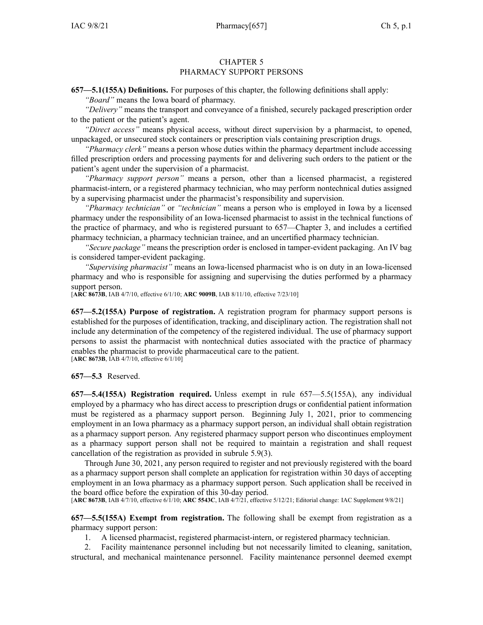## CHAPTER 5 PHARMACY SUPPORT PERSONS

**657—5.1(155A) Definitions.** For purposes of this chapter, the following definitions shall apply: *"Board"* means the Iowa board of pharmacy.

*"Delivery"* means the transport and conveyance of <sup>a</sup> finished, securely packaged prescription order

to the patient or the patient's agent. *"Direct access"* means physical access, without direct supervision by <sup>a</sup> pharmacist, to opened, unpackaged, or unsecured stock containers or prescription vials containing prescription drugs.

*"Pharmacy clerk"* means <sup>a</sup> person whose duties within the pharmacy department include accessing filled prescription orders and processing payments for and delivering such orders to the patient or the patient's agen<sup>t</sup> under the supervision of <sup>a</sup> pharmacist.

*"Pharmacy suppor<sup>t</sup> person"* means <sup>a</sup> person, other than <sup>a</sup> licensed pharmacist, <sup>a</sup> registered pharmacist-intern, or <sup>a</sup> registered pharmacy technician, who may perform nontechnical duties assigned by <sup>a</sup> supervising pharmacist under the pharmacist's responsibility and supervision.

*"Pharmacy technician"* or *"technician"* means <sup>a</sup> person who is employed in Iowa by <sup>a</sup> licensed pharmacy under the responsibility of an Iowa-licensed pharmacist to assist in the technical functions of the practice of pharmacy, and who is registered pursuan<sup>t</sup> to [657—Chapter](https://www.legis.iowa.gov/docs/iac/chapter/657.3.pdf) 3, and includes <sup>a</sup> certified pharmacy technician, <sup>a</sup> pharmacy technician trainee, and an uncertified pharmacy technician.

*"Secure package"* means the prescription order is enclosed in tamper-evident packaging. An IV bag is considered tamper-evident packaging.

*"Supervising pharmacist"* means an Iowa-licensed pharmacist who is on duty in an Iowa-licensed pharmacy and who is responsible for assigning and supervising the duties performed by <sup>a</sup> pharmacy support person.

[**ARC [8673B](https://www.legis.iowa.gov/docs/aco/arc/8673B.pdf)**, IAB 4/7/10, effective 6/1/10; **ARC [9009B](https://www.legis.iowa.gov/docs/aco/arc/9009B.pdf)**, IAB 8/11/10, effective 7/23/10]

**657—5.2(155A) Purpose of registration.** A registration program for pharmacy suppor<sup>t</sup> persons is established for the purposes of identification, tracking, and disciplinary action. The registration shall not include any determination of the competency of the registered individual. The use of pharmacy suppor<sup>t</sup> persons to assist the pharmacist with nontechnical duties associated with the practice of pharmacy enables the pharmacist to provide pharmaceutical care to the patient.

[**ARC [8673B](https://www.legis.iowa.gov/docs/aco/arc/8673B.pdf)**, IAB 4/7/10, effective 6/1/10]

## **657—5.3** Reserved.

**657—5.4(155A) Registration required.** Unless exemp<sup>t</sup> in rule [657—5.5\(](https://www.legis.iowa.gov/docs/iac/rule/657.5.5.pdf)155A), any individual employed by <sup>a</sup> pharmacy who has direct access to prescription drugs or confidential patient information must be registered as <sup>a</sup> pharmacy suppor<sup>t</sup> person. Beginning July 1, 2021, prior to commencing employment in an Iowa pharmacy as <sup>a</sup> pharmacy suppor<sup>t</sup> person, an individual shall obtain registration as <sup>a</sup> pharmacy suppor<sup>t</sup> person. Any registered pharmacy suppor<sup>t</sup> person who discontinues employment as <sup>a</sup> pharmacy suppor<sup>t</sup> person shall not be required to maintain <sup>a</sup> registration and shall reques<sup>t</sup> cancellation of the registration as provided in subrule [5.9\(3\)](https://www.legis.iowa.gov/docs/iac/rule/657.5.9.pdf).

Through June 30, 2021, any person required to register and not previously registered with the board as <sup>a</sup> pharmacy suppor<sup>t</sup> person shall complete an application for registration within 30 days of accepting employment in an Iowa pharmacy as <sup>a</sup> pharmacy suppor<sup>t</sup> person. Such application shall be received in the board office before the expiration of this 30-day period.

[**ARC [8673B](https://www.legis.iowa.gov/docs/aco/arc/8673B.pdf)**, IAB 4/7/10, effective 6/1/10; **ARC [5543C](https://www.legis.iowa.gov/docs/aco/arc/5543C.pdf)**, IAB 4/7/21, effective 5/12/21; Editorial change: IAC Supplement 9/8/21]

**657—5.5(155A) Exempt from registration.** The following shall be exemp<sup>t</sup> from registration as <sup>a</sup> pharmacy suppor<sup>t</sup> person:

1. A licensed pharmacist, registered pharmacist-intern, or registered pharmacy technician.

2. Facility maintenance personnel including but not necessarily limited to cleaning, sanitation, structural, and mechanical maintenance personnel. Facility maintenance personnel deemed exemp<sup>t</sup>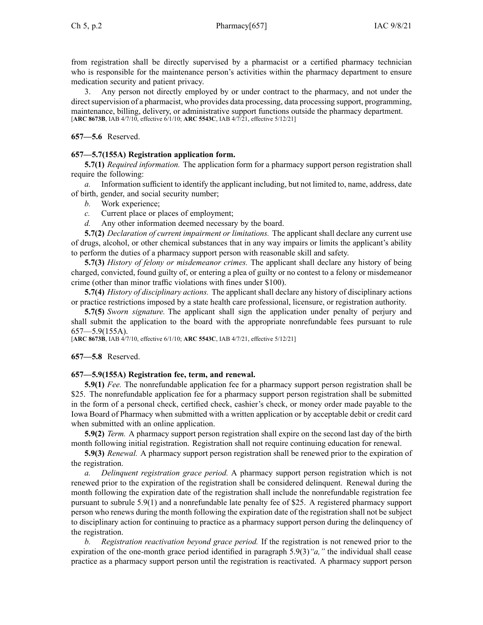from registration shall be directly supervised by <sup>a</sup> pharmacist or <sup>a</sup> certified pharmacy technician who is responsible for the maintenance person's activities within the pharmacy department to ensure medication security and patient privacy.

3. Any person not directly employed by or under contract to the pharmacy, and not under the direct supervision of a pharmacist, who provides data processing, data processing support, programming, maintenance, billing, delivery, or administrative suppor<sup>t</sup> functions outside the pharmacy department. [**ARC [8673B](https://www.legis.iowa.gov/docs/aco/arc/8673B.pdf)**, IAB 4/7/10, effective 6/1/10; **ARC [5543C](https://www.legis.iowa.gov/docs/aco/arc/5543C.pdf)**, IAB 4/7/21, effective 5/12/21]

**657—5.6** Reserved.

#### **657—5.7(155A) Registration application form.**

**5.7(1)** *Required information.* The application form for <sup>a</sup> pharmacy suppor<sup>t</sup> person registration shall require the following:

*a.* Information sufficient to identify the applicant including, but not limited to, name, address, date of birth, gender, and social security number;

*b.* Work experience;

*c.* Current place or places of employment;

*d.* Any other information deemed necessary by the board.

**5.7(2)** *Declaration of current impairment or limitations.* The applicant shall declare any current use of drugs, alcohol, or other chemical substances that in any way impairs or limits the applicant's ability to perform the duties of <sup>a</sup> pharmacy suppor<sup>t</sup> person with reasonable skill and safety.

**5.7(3)** *History of felony or misdemeanor crimes.* The applicant shall declare any history of being charged, convicted, found guilty of, or entering <sup>a</sup> plea of guilty or no contest to <sup>a</sup> felony or misdemeanor crime (other than minor traffic violations with fines under \$100).

**5.7(4)** *History of disciplinary actions.* The applicant shall declare any history of disciplinary actions or practice restrictions imposed by <sup>a</sup> state health care professional, licensure, or registration authority.

**5.7(5)** *Sworn signature.* The applicant shall sign the application under penalty of perjury and shall submit the application to the board with the appropriate nonrefundable fees pursuan<sup>t</sup> to rule [657—5.9\(](https://www.legis.iowa.gov/docs/iac/rule/657.5.9.pdf)155A).

[**ARC [8673B](https://www.legis.iowa.gov/docs/aco/arc/8673B.pdf)**, IAB 4/7/10, effective 6/1/10; **ARC [5543C](https://www.legis.iowa.gov/docs/aco/arc/5543C.pdf)**, IAB 4/7/21, effective 5/12/21]

#### **657—5.8** Reserved.

## **657—5.9(155A) Registration fee, term, and renewal.**

**5.9(1)** *Fee.* The nonrefundable application fee for <sup>a</sup> pharmacy suppor<sup>t</sup> person registration shall be \$25. The nonrefundable application fee for <sup>a</sup> pharmacy suppor<sup>t</sup> person registration shall be submitted in the form of <sup>a</sup> personal check, certified check, cashier's check, or money order made payable to the Iowa Board of Pharmacy when submitted with <sup>a</sup> written application or by acceptable debit or credit card when submitted with an online application.

**5.9(2)** *Term.* A pharmacy suppor<sup>t</sup> person registration shall expire on the second last day of the birth month following initial registration. Registration shall not require continuing education for renewal.

**5.9(3)** *Renewal.* A pharmacy suppor<sup>t</sup> person registration shall be renewed prior to the expiration of the registration.

*a. Delinquent registration grace period.* A pharmacy suppor<sup>t</sup> person registration which is not renewed prior to the expiration of the registration shall be considered delinquent. Renewal during the month following the expiration date of the registration shall include the nonrefundable registration fee pursuan<sup>t</sup> to subrule [5.9\(1\)](https://www.legis.iowa.gov/docs/iac/rule/657.5.9.pdf) and <sup>a</sup> nonrefundable late penalty fee of \$25. A registered pharmacy suppor<sup>t</sup> person who renews during the month following the expiration date of the registration shall not be subject to disciplinary action for continuing to practice as <sup>a</sup> pharmacy suppor<sup>t</sup> person during the delinquency of the registration.

*b. Registration reactivation beyond grace period.* If the registration is not renewed prior to the expiration of the one-month grace period identified in paragraph 5.9(3)*"a,"* the individual shall cease practice as <sup>a</sup> pharmacy suppor<sup>t</sup> person until the registration is reactivated. A pharmacy suppor<sup>t</sup> person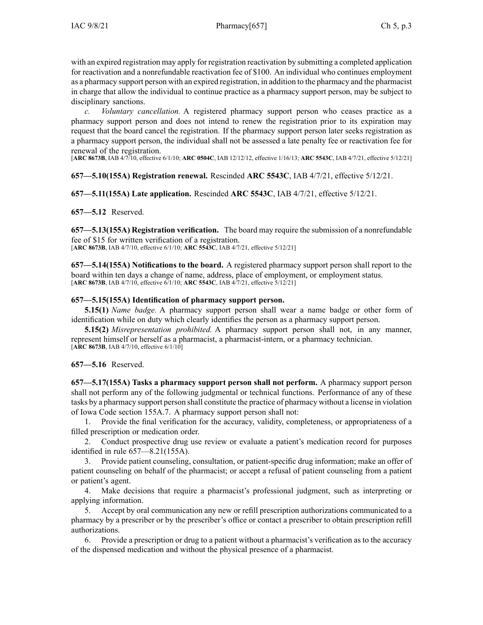with an expired registration may apply for registration reactivation by submitting <sup>a</sup> completed application for reactivation and <sup>a</sup> nonrefundable reactivation fee of \$100. An individual who continues employment as <sup>a</sup> pharmacy suppor<sup>t</sup> person with an expired registration, in addition to the pharmacy and the pharmacist in charge that allow the individual to continue practice as <sup>a</sup> pharmacy suppor<sup>t</sup> person, may be subject to disciplinary sanctions.

*c. Voluntary cancellation.* A registered pharmacy suppor<sup>t</sup> person who ceases practice as <sup>a</sup> pharmacy suppor<sup>t</sup> person and does not intend to renew the registration prior to its expiration may reques<sup>t</sup> that the board cancel the registration. If the pharmacy suppor<sup>t</sup> person later seeks registration as <sup>a</sup> pharmacy suppor<sup>t</sup> person, the individual shall not be assessed <sup>a</sup> late penalty fee or reactivation fee for renewal of the registration.

[**ARC [8673B](https://www.legis.iowa.gov/docs/aco/arc/8673B.pdf)**, IAB 4/7/10, effective 6/1/10; **ARC [0504C](https://www.legis.iowa.gov/docs/aco/arc/0504C.pdf)**, IAB 12/12/12, effective 1/16/13; **ARC [5543C](https://www.legis.iowa.gov/docs/aco/arc/5543C.pdf)**, IAB 4/7/21, effective 5/12/21]

## **657—5.10(155A) Registration renewal.** Rescinded **ARC 5543C**, IAB [4/7/21](https://www.legis.iowa.gov/docs/aco/bulletin/04-07-2021.pdf), effective 5/12/21.

**657—5.11(155A) Late application.** Rescinded **ARC 5543C**, IAB [4/7/21](https://www.legis.iowa.gov/docs/aco/bulletin/04-07-2021.pdf), effective 5/12/21.

## **657—5.12** Reserved.

**657—5.13(155A) Registration verification.** The board may require the submission of <sup>a</sup> nonrefundable fee of \$15 for written verification of <sup>a</sup> registration. [**ARC [8673B](https://www.legis.iowa.gov/docs/aco/arc/8673B.pdf)**, IAB 4/7/10, effective 6/1/10; **ARC [5543C](https://www.legis.iowa.gov/docs/aco/arc/5543C.pdf)**, IAB 4/7/21, effective 5/12/21]

**657—5.14(155A) Notifications to the board.** A registered pharmacy suppor<sup>t</sup> person shall repor<sup>t</sup> to the board within ten days <sup>a</sup> change of name, address, place of employment, or employment status. [**ARC [8673B](https://www.legis.iowa.gov/docs/aco/arc/8673B.pdf)**, IAB 4/7/10, effective 6/1/10; **ARC [5543C](https://www.legis.iowa.gov/docs/aco/arc/5543C.pdf)**, IAB 4/7/21, effective 5/12/21]

## **657—5.15(155A) Identification of pharmacy support person.**

**5.15(1)** *Name badge.* A pharmacy suppor<sup>t</sup> person shall wear <sup>a</sup> name badge or other form of identification while on duty which clearly identifies the person as <sup>a</sup> pharmacy suppor<sup>t</sup> person.

**5.15(2)** *Misrepresentation prohibited.* A pharmacy suppor<sup>t</sup> person shall not, in any manner, represen<sup>t</sup> himself or herself as <sup>a</sup> pharmacist, <sup>a</sup> pharmacist-intern, or <sup>a</sup> pharmacy technician. [**ARC [8673B](https://www.legis.iowa.gov/docs/aco/arc/8673B.pdf)**, IAB 4/7/10, effective 6/1/10]

# **657—5.16** Reserved.

**657—5.17(155A) Tasks <sup>a</sup> pharmacy suppor<sup>t</sup> person shall not perform.** A pharmacy suppor<sup>t</sup> person shall not perform any of the following judgmental or technical functions. Performance of any of these tasks by <sup>a</sup> pharmacy suppor<sup>t</sup> person shall constitute the practice of pharmacy without <sup>a</sup> license in violation of Iowa Code section [155A.7](https://www.legis.iowa.gov/docs/ico/section/155A.7.pdf). A pharmacy suppor<sup>t</sup> person shall not:

1. Provide the final verification for the accuracy, validity, completeness, or appropriateness of <sup>a</sup> filled prescription or medication order.

2. Conduct prospective drug use review or evaluate <sup>a</sup> patient's medication record for purposes identified in rule 657—8.21(155A).

3. Provide patient counseling, consultation, or patient-specific drug information; make an offer of patient counseling on behalf of the pharmacist; or accep<sup>t</sup> <sup>a</sup> refusal of patient counseling from <sup>a</sup> patient or patient's agent.

4. Make decisions that require <sup>a</sup> pharmacist's professional judgment, such as interpreting or applying information.

5. Accept by oral communication any new or refill prescription authorizations communicated to <sup>a</sup> pharmacy by <sup>a</sup> prescriber or by the prescriber's office or contact <sup>a</sup> prescriber to obtain prescription refill authorizations.

6. Provide <sup>a</sup> prescription or drug to <sup>a</sup> patient without <sup>a</sup> pharmacist's verification as to the accuracy of the dispensed medication and without the physical presence of <sup>a</sup> pharmacist.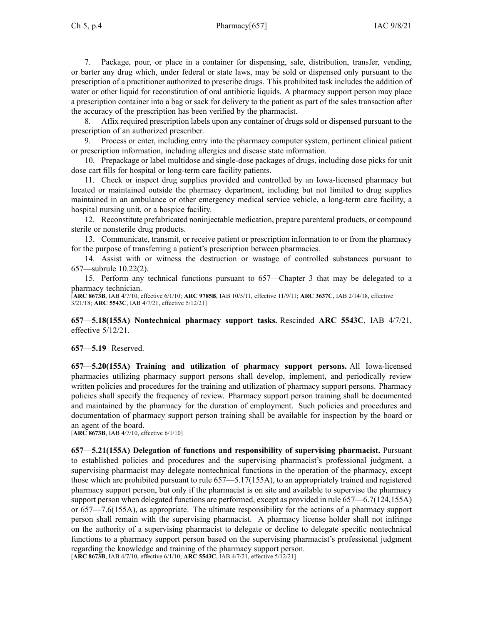7. Package, pour, or place in <sup>a</sup> container for dispensing, sale, distribution, transfer, vending, or barter any drug which, under federal or state laws, may be sold or dispensed only pursuan<sup>t</sup> to the prescription of <sup>a</sup> practitioner authorized to prescribe drugs. This prohibited task includes the addition of water or other liquid for reconstitution of oral antibiotic liquids. A pharmacy suppor<sup>t</sup> person may place <sup>a</sup> prescription container into <sup>a</sup> bag or sack for delivery to the patient as par<sup>t</sup> of the sales transaction after the accuracy of the prescription has been verified by the pharmacist.

8. Affix required prescription labels upon any container of drugs sold or dispensed pursuan<sup>t</sup> to the prescription of an authorized prescriber.

9. Process or enter, including entry into the pharmacy computer system, pertinent clinical patient or prescription information, including allergies and disease state information.

10. Prepackage or label multidose and single-dose packages of drugs, including dose picks for unit dose cart fills for hospital or long-term care facility patients.

11. Check or inspect drug supplies provided and controlled by an Iowa-licensed pharmacy but located or maintained outside the pharmacy department, including but not limited to drug supplies maintained in an ambulance or other emergency medical service vehicle, <sup>a</sup> long-term care facility, <sup>a</sup> hospital nursing unit, or <sup>a</sup> hospice facility.

12. Reconstitute prefabricated noninjectable medication, prepare parenteral products, or compound sterile or nonsterile drug products.

13. Communicate, transmit, or receive patient or prescription information to or from the pharmacy for the purpose of transferring <sup>a</sup> patient's prescription between pharmacies.

14. Assist with or witness the destruction or wastage of controlled substances pursuan<sup>t</sup> to 657—subrule 10.22(2).

15. Perform any technical functions pursuan<sup>t</sup> to 657—Chapter 3 that may be delegated to <sup>a</sup> pharmacy technician.

[**ARC [8673B](https://www.legis.iowa.gov/docs/aco/arc/8673B.pdf)**, IAB 4/7/10, effective 6/1/10; **ARC [9785B](https://www.legis.iowa.gov/docs/aco/arc/9785B.pdf)**, IAB 10/5/11, effective 11/9/11; **ARC [3637C](https://www.legis.iowa.gov/docs/aco/arc/3637C.pdf)**, IAB 2/14/18, effective 3/21/18; **ARC [5543C](https://www.legis.iowa.gov/docs/aco/arc/5543C.pdf)**, IAB 4/7/21, effective 5/12/21]

**657—5.18(155A) Nontechnical pharmacy suppor<sup>t</sup> tasks.** Rescinded **ARC 5543C**, IAB [4/7/21](https://www.legis.iowa.gov/docs/aco/bulletin/04-07-2021.pdf), effective 5/12/21.

**657—5.19** Reserved.

**657—5.20(155A) Training and utilization of pharmacy suppor<sup>t</sup> persons.** All Iowa-licensed pharmacies utilizing pharmacy suppor<sup>t</sup> persons shall develop, implement, and periodically review written policies and procedures for the training and utilization of pharmacy suppor<sup>t</sup> persons. Pharmacy policies shall specify the frequency of review. Pharmacy suppor<sup>t</sup> person training shall be documented and maintained by the pharmacy for the duration of employment. Such policies and procedures and documentation of pharmacy suppor<sup>t</sup> person training shall be available for inspection by the board or an agen<sup>t</sup> of the board.

[**ARC [8673B](https://www.legis.iowa.gov/docs/aco/arc/8673B.pdf)**, IAB 4/7/10, effective 6/1/10]

**657—5.21(155A) Delegation of functions and responsibility of supervising pharmacist.** Pursuant to established policies and procedures and the supervising pharmacist's professional judgment, <sup>a</sup> supervising pharmacist may delegate nontechnical functions in the operation of the pharmacy, excep<sup>t</sup> those which are prohibited pursuan<sup>t</sup> to rule [657—5.17](https://www.legis.iowa.gov/docs/iac/rule/657.5.17.pdf)(155A), to an appropriately trained and registered pharmacy suppor<sup>t</sup> person, but only if the pharmacist is on site and available to supervise the pharmacy suppor<sup>t</sup> person when delegated functions are performed, excep<sup>t</sup> as provided in rule [657—6.7](https://www.legis.iowa.gov/docs/iac/rule/657.6.7.pdf)(124,155A) or [657—7.6](https://www.legis.iowa.gov/docs/iac/rule/657.7.6.pdf)(155A), as appropriate. The ultimate responsibility for the actions of <sup>a</sup> pharmacy suppor<sup>t</sup> person shall remain with the supervising pharmacist. A pharmacy license holder shall not infringe on the authority of <sup>a</sup> supervising pharmacist to delegate or decline to delegate specific nontechnical functions to <sup>a</sup> pharmacy suppor<sup>t</sup> person based on the supervising pharmacist's professional judgment regarding the knowledge and training of the pharmacy suppor<sup>t</sup> person. [**ARC [8673B](https://www.legis.iowa.gov/docs/aco/arc/8673B.pdf)**, IAB 4/7/10, effective 6/1/10; **ARC [5543C](https://www.legis.iowa.gov/docs/aco/arc/5543C.pdf)**, IAB 4/7/21, effective 5/12/21]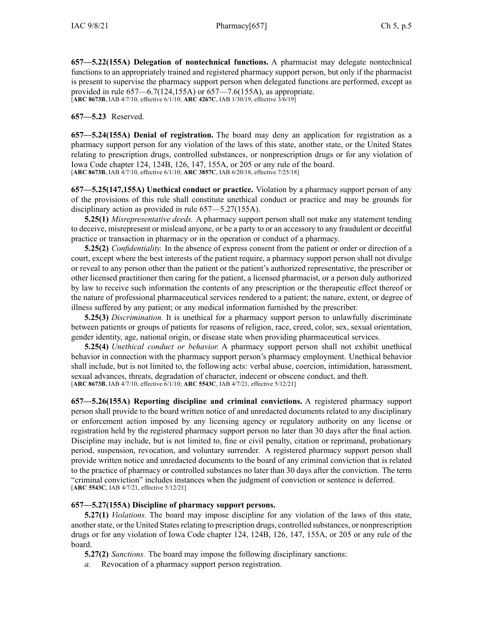**657—5.22(155A) Delegation of nontechnical functions.** A pharmacist may delegate nontechnical functions to an appropriately trained and registered pharmacy suppor<sup>t</sup> person, but only if the pharmacist is presen<sup>t</sup> to supervise the pharmacy suppor<sup>t</sup> person when delegated functions are performed, excep<sup>t</sup> as provided in rule 657—6.7(124,155A) or 657—7.6(155A), as appropriate. [**ARC [8673B](https://www.legis.iowa.gov/docs/aco/arc/8673B.pdf)**, IAB 4/7/10, effective 6/1/10; **ARC [4267C](https://www.legis.iowa.gov/docs/aco/arc/4267C.pdf)**, IAB 1/30/19, effective 3/6/19]

**657—5.23** Reserved.

**657—5.24(155A) Denial of registration.** The board may deny an application for registration as <sup>a</sup> pharmacy suppor<sup>t</sup> person for any violation of the laws of this state, another state, or the United States relating to prescription drugs, controlled substances, or nonprescription drugs or for any violation of Iowa Code chapter [124](https://www.legis.iowa.gov/docs/ico/chapter/124.pdf), [124B](https://www.legis.iowa.gov/docs/ico/chapter/124B.pdf), [126](https://www.legis.iowa.gov/docs/ico/chapter/126.pdf), [147](https://www.legis.iowa.gov/docs/ico/chapter/147.pdf), [155A](https://www.legis.iowa.gov/docs/ico/chapter/155A.pdf), or [205](https://www.legis.iowa.gov/docs/ico/chapter/205.pdf) or any rule of the board. [**ARC [8673B](https://www.legis.iowa.gov/docs/aco/arc/8673B.pdf)**, IAB 4/7/10, effective 6/1/10; **ARC [3857C](https://www.legis.iowa.gov/docs/aco/arc/3857C.pdf)**, IAB 6/20/18, effective 7/25/18]

**657—5.25(147,155A) Unethical conduct or practice.** Violation by <sup>a</sup> pharmacy suppor<sup>t</sup> person of any of the provisions of this rule shall constitute unethical conduct or practice and may be grounds for disciplinary action as provided in rule [657—5.27](https://www.legis.iowa.gov/docs/iac/rule/657.5.27.pdf)(155A).

**5.25(1)** *Misrepresentative deeds.* A pharmacy suppor<sup>t</sup> person shall not make any statement tending to deceive, misrepresent or mislead anyone, or be <sup>a</sup> party to or an accessory to any fraudulent or deceitful practice or transaction in pharmacy or in the operation or conduct of <sup>a</sup> pharmacy.

**5.25(2)** *Confidentiality.* In the absence of express consent from the patient or order or direction of <sup>a</sup> court, excep<sup>t</sup> where the best interests of the patient require, <sup>a</sup> pharmacy suppor<sup>t</sup> person shall not divulge or reveal to any person other than the patient or the patient's authorized representative, the prescriber or other licensed practitioner then caring for the patient, <sup>a</sup> licensed pharmacist, or <sup>a</sup> person duly authorized by law to receive such information the contents of any prescription or the therapeutic effect thereof or the nature of professional pharmaceutical services rendered to <sup>a</sup> patient; the nature, extent, or degree of illness suffered by any patient; or any medical information furnished by the prescriber.

**5.25(3)** *Discrimination.* It is unethical for <sup>a</sup> pharmacy suppor<sup>t</sup> person to unlawfully discriminate between patients or groups of patients for reasons of religion, race, creed, color, sex, sexual orientation, gender identity, age, national origin, or disease state when providing pharmaceutical services.

**5.25(4)** *Unethical conduct or behavior.* A pharmacy suppor<sup>t</sup> person shall not exhibit unethical behavior in connection with the pharmacy suppor<sup>t</sup> person's pharmacy employment. Unethical behavior shall include, but is not limited to, the following acts: verbal abuse, coercion, intimidation, harassment, sexual advances, threats, degradation of character, indecent or obscene conduct, and theft. [**ARC [8673B](https://www.legis.iowa.gov/docs/aco/arc/8673B.pdf)**, IAB 4/7/10, effective 6/1/10; **ARC [5543C](https://www.legis.iowa.gov/docs/aco/arc/5543C.pdf)**, IAB 4/7/21, effective 5/12/21]

**657—5.26(155A) Reporting discipline and criminal convictions.** A registered pharmacy suppor<sup>t</sup> person shall provide to the board written notice of and unredacted documents related to any disciplinary or enforcement action imposed by any licensing agency or regulatory authority on any license or registration held by the registered pharmacy suppor<sup>t</sup> person no later than 30 days after the final action. Discipline may include, but is not limited to, fine or civil penalty, citation or reprimand, probationary period, suspension, revocation, and voluntary surrender. A registered pharmacy suppor<sup>t</sup> person shall provide written notice and unredacted documents to the board of any criminal conviction that is related to the practice of pharmacy or controlled substances no later than 30 days after the conviction. The term "criminal conviction" includes instances when the judgment of conviction or sentence is deferred. [**ARC [5543C](https://www.legis.iowa.gov/docs/aco/arc/5543C.pdf)**, IAB 4/7/21, effective 5/12/21]

## **657—5.27(155A) Discipline of pharmacy support persons.**

**5.27(1)** *Violations.* The board may impose discipline for any violation of the laws of this state, another state, or the United States relating to prescription drugs, controlled substances, or nonprescription drugs or for any violation of Iowa Code chapter [124](https://www.legis.iowa.gov/docs/ico/chapter/124.pdf), [124B](https://www.legis.iowa.gov/docs/ico/chapter/124B.pdf), [126](https://www.legis.iowa.gov/docs/ico/chapter/126.pdf), [147](https://www.legis.iowa.gov/docs/ico/chapter/147.pdf), [155A](https://www.legis.iowa.gov/docs/ico/chapter/155A.pdf), or [205](https://www.legis.iowa.gov/docs/ico/chapter/205.pdf) or any rule of the board.

**5.27(2)** *Sanctions.* The board may impose the following disciplinary sanctions:

Revocation of a pharmacy support person registration.